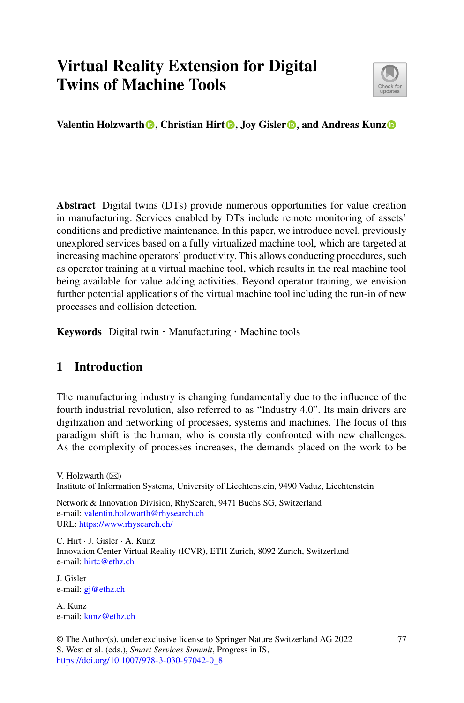# **Virtual Reality Extension for Digital Twins of Machine Tools**



**Valentin Holzwarth<sup></sup> <b>[,](http://orcid.org/0000-0003-2464-6749)** Christian Hirt<sup>**o**</sup>, Joy Gisler  $\bullet$ , and Andreas Kunz $\bullet$ 

**Abstract** Digital twins (DTs) provide numerous opportunities for value creation in manufacturing. Services enabled by DTs include remote monitoring of assets' conditions and predictive maintenance. In this paper, we introduce novel, previously unexplored services based on a fully virtualized machine tool, which are targeted at increasing machine operators' productivity. This allows conducting procedures, such as operator training at a virtual machine tool, which results in the real machine tool being available for value adding activities. Beyond operator training, we envision further potential applications of the virtual machine tool including the run-in of new processes and collision detection.

**Keywords** Digital twin · Manufacturing · Machine tools

## **1 Introduction**

The manufacturing industry is changing fundamentally due to the influence of the fourth industrial revolution, also referred to as "Industry 4.0". Its main drivers are digitization and networking of processes, systems and machines. The focus of this paradigm shift is the human, who is constantly confronted with new challenges. As the complexity of processes increases, the demands placed on the work to be

V. Holzwarth  $(\boxtimes)$ 

C. Hirt · J. Gisler · A. Kunz Innovation Center Virtual Reality (ICVR), ETH Zurich, 8092 Zurich, Switzerland e-mail: [hirtc@ethz.ch](mailto:hirtc@ethz.ch)

J. Gisler e-mail: [gj@ethz.ch](mailto:gj@ethz.ch)

A. Kunz e-mail: [kunz@ethz.ch](mailto:kunz@ethz.ch)

Institute of Information Systems, University of Liechtenstein, 9490 Vaduz, Liechtenstein

Network & Innovation Division, RhySearch, 9471 Buchs SG, Switzerland e-mail: [valentin.holzwarth@rhysearch.ch](mailto:valentin.holzwarth@rhysearch.ch) URL: <https://www.rhysearch.ch/>

<sup>©</sup> The Author(s), under exclusive license to Springer Nature Switzerland AG 2022 S. West et al. (eds.), *Smart Services Summit*, Progress in IS, [https://doi.org/10.1007/978-3-030-97042-0\\_8](https://doi.org/10.1007/978-3-030-97042-0_8)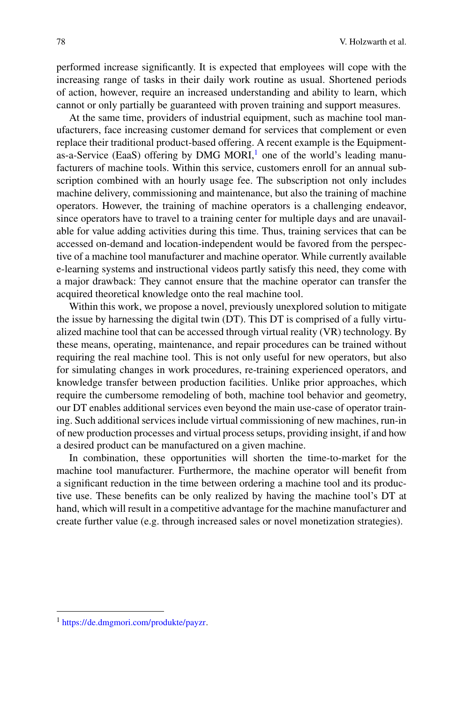performed increase significantly. It is expected that employees will cope with the increasing range of tasks in their daily work routine as usual. Shortened periods of action, however, require an increased understanding and ability to learn, which cannot or only partially be guaranteed with proven training and support measures.

At the same time, providers of industrial equipment, such as machine tool manufacturers, face increasing customer demand for services that complement or even replace their traditional product-based offering. A recent example is the Equipmentas-a-Service (EaaS) offering by DMG MORI,<sup>1</sup> one of the world's leading manufacturers of machine tools. Within this service, customers enroll for an annual subscription combined with an hourly usage fee. The subscription not only includes machine delivery, commissioning and maintenance, but also the training of machine operators. However, the training of machine operators is a challenging endeavor, since operators have to travel to a training center for multiple days and are unavailable for value adding activities during this time. Thus, training services that can be accessed on-demand and location-independent would be favored from the perspective of a machine tool manufacturer and machine operator. While currently available e-learning systems and instructional videos partly satisfy this need, they come with a major drawback: They cannot ensure that the machine operator can transfer the acquired theoretical knowledge onto the real machine tool.

Within this work, we propose a novel, previously unexplored solution to mitigate the issue by harnessing the digital twin (DT). This DT is comprised of a fully virtualized machine tool that can be accessed through virtual reality (VR) technology. By these means, operating, maintenance, and repair procedures can be trained without requiring the real machine tool. This is not only useful for new operators, but also for simulating changes in work procedures, re-training experienced operators, and knowledge transfer between production facilities. Unlike prior approaches, which require the cumbersome remodeling of both, machine tool behavior and geometry, our DT enables additional services even beyond the main use-case of operator training. Such additional services include virtual commissioning of new machines, run-in of new production processes and virtual process setups, providing insight, if and how a desired product can be manufactured on a given machine.

In combination, these opportunities will shorten the time-to-market for the machine tool manufacturer. Furthermore, the machine operator will benefit from a significant reduction in the time between ordering a machine tool and its productive use. These benefits can be only realized by having the machine tool's DT at hand, which will result in a competitive advantage for the machine manufacturer and create further value (e.g. through increased sales or novel monetization strategies).

<span id="page-1-0"></span><sup>1</sup> [https://de.dmgmori.com/produkte/payzr.](https://de.dmgmori.com/produkte/payzr)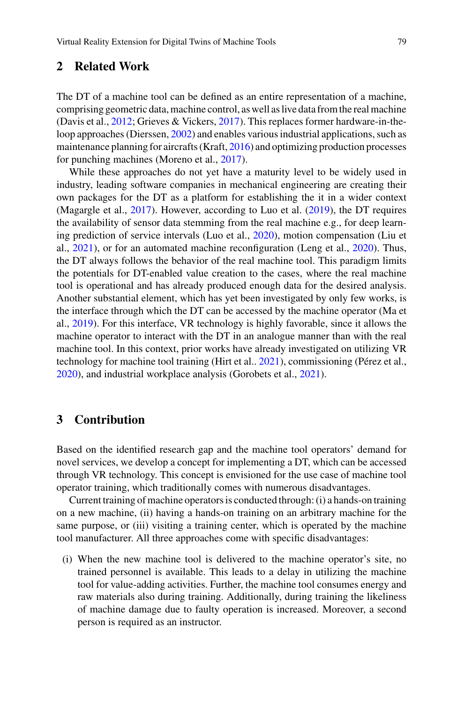#### **2 Related Work**

The DT of a machine tool can be defined as an entire representation of a machine, comprising geometric data, machine control, as well as live data from the real machine (Davis et al., [2012](#page-6-0); Grieves & Vickers, [2017](#page-6-1)). This replaces former hardware-in-theloop approaches (Dierssen, [2002\)](#page-6-2) and enables various industrial applications, such as maintenance planning for aircrafts (Kraft, [2016](#page-6-3)) and optimizing production processes for punching machines (Moreno et al., [2017\)](#page-7-0).

While these approaches do not yet have a maturity level to be widely used in industry, leading software companies in mechanical engineering are creating their own packages for the DT as a platform for establishing the it in a wider context (Magargle et al., [2017\)](#page-6-4). However, according to Luo et al. [\(2019](#page-6-5)), the DT requires the availability of sensor data stemming from the real machine e.g., for deep learning prediction of service intervals (Luo et al., [2020\)](#page-6-6), motion compensation (Liu et al., [2021\)](#page-6-7), or for an automated machine reconfiguration (Leng et al., [2020\)](#page-6-8). Thus, the DT always follows the behavior of the real machine tool. This paradigm limits the potentials for DT-enabled value creation to the cases, where the real machine tool is operational and has already produced enough data for the desired analysis. Another substantial element, which has yet been investigated by only few works, is the interface through which the DT can be accessed by the machine operator (Ma et al., [2019](#page-6-9)). For this interface, VR technology is highly favorable, since it allows the machine operator to interact with the DT in an analogue manner than with the real machine tool. In this context, prior works have already investigated on utilizing VR technology for machine tool training (Hirt et al.. [2021](#page-6-10)), commissioning (Pérez et al., [2020](#page-7-1)), and industrial workplace analysis (Gorobets et al., [2021\)](#page-6-11).

#### **3 Contribution**

Based on the identified research gap and the machine tool operators' demand for novel services, we develop a concept for implementing a DT, which can be accessed through VR technology. This concept is envisioned for the use case of machine tool operator training, which traditionally comes with numerous disadvantages.

Current training of machine operators is conducted through: (i) a hands-on training on a new machine, (ii) having a hands-on training on an arbitrary machine for the same purpose, or (iii) visiting a training center, which is operated by the machine tool manufacturer. All three approaches come with specific disadvantages:

(i) When the new machine tool is delivered to the machine operator's site, no trained personnel is available. This leads to a delay in utilizing the machine tool for value-adding activities. Further, the machine tool consumes energy and raw materials also during training. Additionally, during training the likeliness of machine damage due to faulty operation is increased. Moreover, a second person is required as an instructor.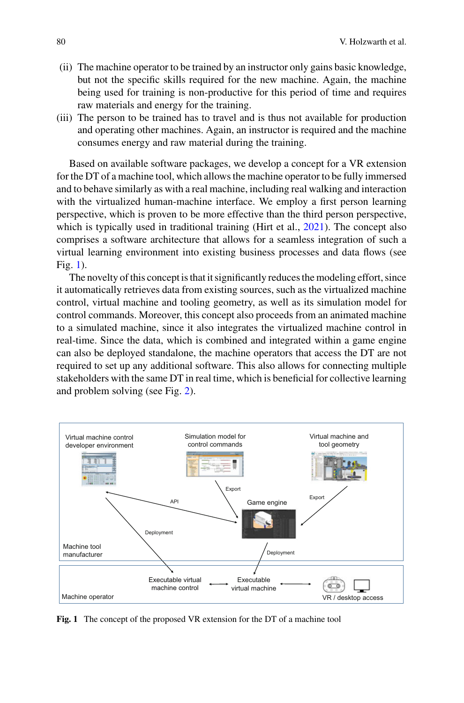- (ii) The machine operator to be trained by an instructor only gains basic knowledge, but not the specific skills required for the new machine. Again, the machine being used for training is non-productive for this period of time and requires raw materials and energy for the training.
- (iii) The person to be trained has to travel and is thus not available for production and operating other machines. Again, an instructor is required and the machine consumes energy and raw material during the training.

Based on available software packages, we develop a concept for a VR extension for the DT of a machine tool, which allows the machine operator to be fully immersed and to behave similarly as with a real machine, including real walking and interaction with the virtualized human-machine interface. We employ a first person learning perspective, which is proven to be more effective than the third person perspective, which is typically used in traditional training (Hirt et al., [2021](#page-6-10)). The concept also comprises a software architecture that allows for a seamless integration of such a virtual learning environment into existing business processes and data flows (see Fig. [1\)](#page-3-0).

The novelty of this concept is that it significantly reduces the modeling effort, since it automatically retrieves data from existing sources, such as the virtualized machine control, virtual machine and tooling geometry, as well as its simulation model for control commands. Moreover, this concept also proceeds from an animated machine to a simulated machine, since it also integrates the virtualized machine control in real-time. Since the data, which is combined and integrated within a game engine can also be deployed standalone, the machine operators that access the DT are not required to set up any additional software. This also allows for connecting multiple stakeholders with the same DT in real time, which is beneficial for collective learning and problem solving (see Fig. [2\)](#page-4-0).



<span id="page-3-0"></span>**Fig. 1** The concept of the proposed VR extension for the DT of a machine tool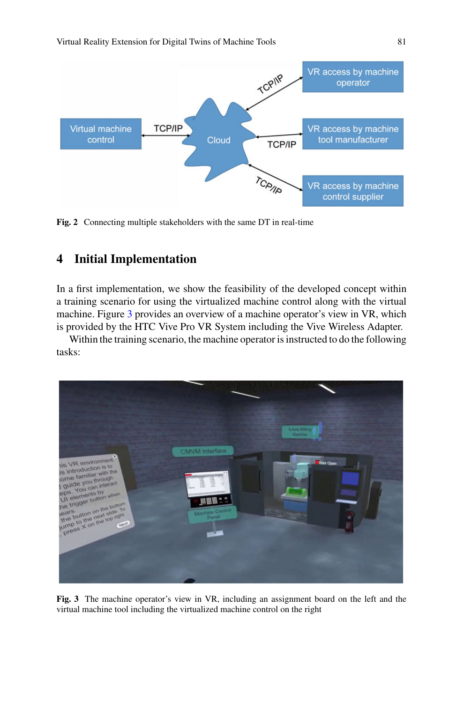

<span id="page-4-0"></span>**Fig. 2** Connecting multiple stakeholders with the same DT in real-time

### **4 Initial Implementation**

In a first implementation, we show the feasibility of the developed concept within a training scenario for using the virtualized machine control along with the virtual machine. Figure [3](#page-4-1) provides an overview of a machine operator's view in VR, which is provided by the HTC Vive Pro VR System including the Vive Wireless Adapter.

Within the training scenario, the machine operator is instructed to do the following tasks:



<span id="page-4-1"></span>**Fig. 3** The machine operator's view in VR, including an assignment board on the left and the virtual machine tool including the virtualized machine control on the right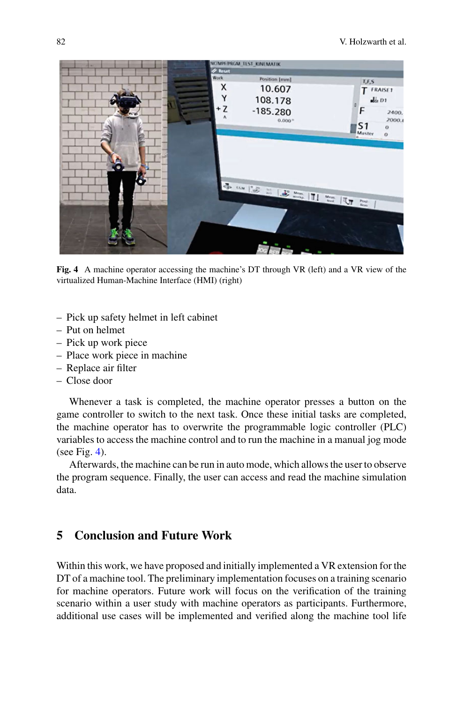

**Fig. 4** A machine operator accessing the machine's DT through VR (left) and a VR view of the virtualized Human-Machine Interface (HMI) (right)

- <span id="page-5-0"></span>– Pick up safety helmet in left cabinet
- Put on helmet
- Pick up work piece
- Place work piece in machine
- Replace air filter
- Close door

Whenever a task is completed, the machine operator presses a button on the game controller to switch to the next task. Once these initial tasks are completed, the machine operator has to overwrite the programmable logic controller (PLC) variables to access the machine control and to run the machine in a manual jog mode (see Fig. [4\)](#page-5-0).

Afterwards, the machine can be run in auto mode, which allows the user to observe the program sequence. Finally, the user can access and read the machine simulation data.

## **5 Conclusion and Future Work**

Within this work, we have proposed and initially implemented a VR extension for the DT of a machine tool. The preliminary implementation focuses on a training scenario for machine operators. Future work will focus on the verification of the training scenario within a user study with machine operators as participants. Furthermore, additional use cases will be implemented and verified along the machine tool life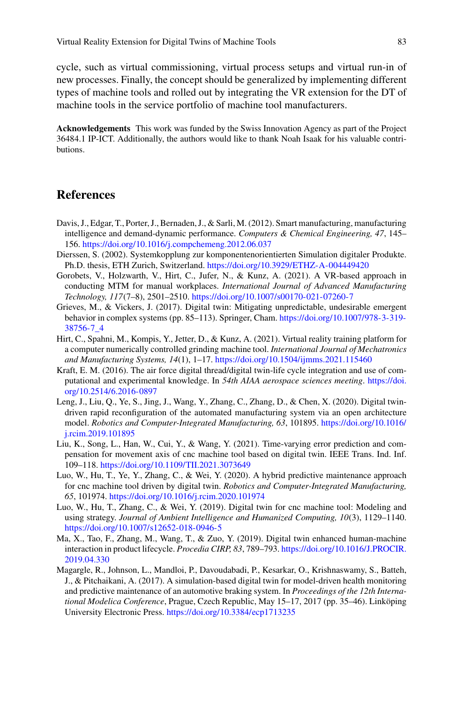cycle, such as virtual commissioning, virtual process setups and virtual run-in of new processes. Finally, the concept should be generalized by implementing different types of machine tools and rolled out by integrating the VR extension for the DT of machine tools in the service portfolio of machine tool manufacturers.

**Acknowledgements** This work was funded by the Swiss Innovation Agency as part of the Project 36484.1 IP-ICT. Additionally, the authors would like to thank Noah Isaak for his valuable contributions.

#### **References**

- <span id="page-6-0"></span>Davis, J., Edgar, T., Porter, J., Bernaden, J., & Sarli, M. (2012). Smart manufacturing, manufacturing intelligence and demand-dynamic performance. *Computers & Chemical Engineering, 47*, 145– 156. <https://doi.org/10.1016/j.compchemeng.2012.06.037>
- <span id="page-6-2"></span>Dierssen, S. (2002). Systemkopplung zur komponentenorientierten Simulation digitaler Produkte. Ph.D. thesis, ETH Zurich, Switzerland. <https://doi.org/10.3929/ETHZ-A-004449420>
- <span id="page-6-11"></span>Gorobets, V., Holzwarth, V., Hirt, C., Jufer, N., & Kunz, A. (2021). A VR-based approach in conducting MTM for manual workplaces. *International Journal of Advanced Manufacturing Technology, 117*(7–8), 2501–2510. <https://doi.org/10.1007/s00170-021-07260-7>
- <span id="page-6-1"></span>Grieves, M., & Vickers, J. (2017). Digital twin: Mitigating unpredictable, undesirable emergent behavior in complex systems (pp. 85–113). Springer, Cham. [https://doi.org/10.1007/978-3-319-](https://doi.org/10.1007/978-3-319-38756-7_4) [38756-7\\_4](https://doi.org/10.1007/978-3-319-38756-7_4)
- <span id="page-6-10"></span>Hirt, C., Spahni, M., Kompis, Y., Jetter, D., & Kunz, A. (2021). Virtual reality training platform for a computer numerically controlled grinding machine tool. *International Journal of Mechatronics and Manufacturing Systems, 14*(1), 1–17. <https://doi.org/10.1504/ijmms.2021.115460>
- <span id="page-6-3"></span>Kraft, E. M. (2016). The air force digital thread/digital twin-life cycle integration and use of computational and experimental knowledge. In *54th AIAA aerospace sciences meeting*. [https://doi.](https://doi.org/10.2514/6.2016-0897) [org/10.2514/6.2016-0897](https://doi.org/10.2514/6.2016-0897)
- <span id="page-6-8"></span>Leng, J., Liu, Q., Ye, S., Jing, J., Wang, Y., Zhang, C., Zhang, D., & Chen, X. (2020). Digital twindriven rapid reconfiguration of the automated manufacturing system via an open architecture model. *Robotics and Computer-Integrated Manufacturing, 63*, 101895. [https://doi.org/10.1016/](https://doi.org/10.1016/j.rcim.2019.101895) [j.rcim.2019.101895](https://doi.org/10.1016/j.rcim.2019.101895)
- <span id="page-6-7"></span>Liu, K., Song, L., Han, W., Cui, Y., & Wang, Y. (2021). Time-varying error prediction and compensation for movement axis of cnc machine tool based on digital twin. IEEE Trans. Ind. Inf. 109–118. <https://doi.org/10.1109/TII.2021.3073649>
- <span id="page-6-6"></span>Luo, W., Hu, T., Ye, Y., Zhang, C., & Wei, Y. (2020). A hybrid predictive maintenance approach for cnc machine tool driven by digital twin. *Robotics and Computer-Integrated Manufacturing, 65*, 101974. <https://doi.org/10.1016/j.rcim.2020.101974>
- <span id="page-6-5"></span>Luo, W., Hu, T., Zhang, C., & Wei, Y. (2019). Digital twin for cnc machine tool: Modeling and using strategy. *Journal of Ambient Intelligence and Humanized Computing, 10*(3), 1129–1140. <https://doi.org/10.1007/s12652-018-0946-5>
- <span id="page-6-9"></span>Ma, X., Tao, F., Zhang, M., Wang, T., & Zuo, Y. (2019). Digital twin enhanced human-machine interaction in product lifecycle. *Procedia CIRP, 83*, 789–793. [https://doi.org/10.1016/J.PROCIR.](https://doi.org/10.1016/J.PROCIR.2019.04.330) [2019.04.330](https://doi.org/10.1016/J.PROCIR.2019.04.330)
- <span id="page-6-4"></span>Magargle, R., Johnson, L., Mandloi, P., Davoudabadi, P., Kesarkar, O., Krishnaswamy, S., Batteh, J., & Pitchaikani, A. (2017). A simulation-based digital twin for model-driven health monitoring and predictive maintenance of an automotive braking system. In *Proceedings of the 12th International Modelica Conference*, Prague, Czech Republic, May 15–17, 2017 (pp. 35–46). Linköping University Electronic Press. <https://doi.org/10.3384/ecp1713235>